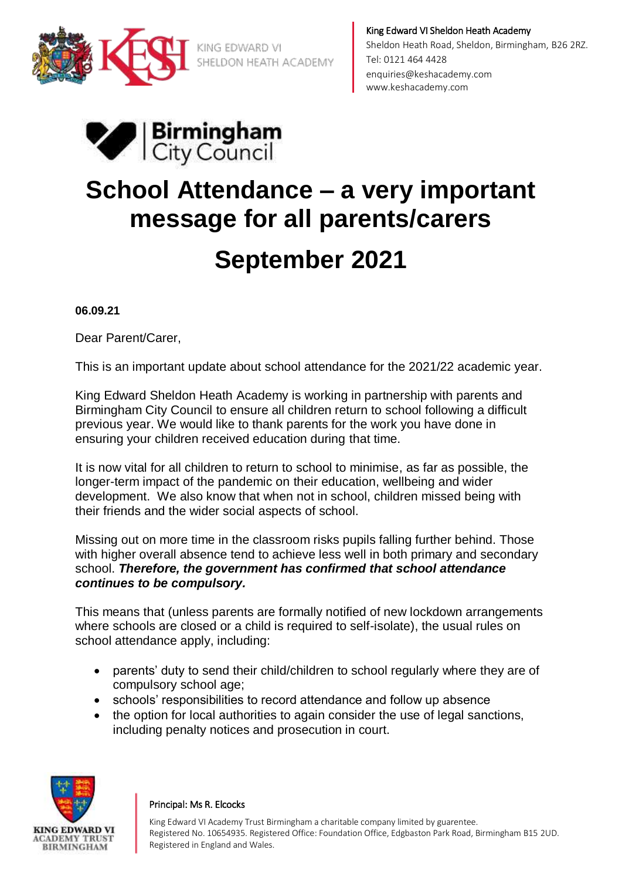

King Edward VI Sheldon Heath Academy Sheldon Heath Road, Sheldon, Birmingham, B26 2RZ. Tel: 0121 464 4428 [enquiries@keshacademy.com](mailto:enquiries@keshacademy.com)  www.keshacademy.com



# **School Attendance – a very important message for all parents/carers September 2021**

**06.09.21**

Dear Parent/Carer,

This is an important update about school attendance for the 2021/22 academic year.

King Edward Sheldon Heath Academy is working in partnership with parents and Birmingham City Council to ensure all children return to school following a difficult previous year. We would like to thank parents for the work you have done in ensuring your children received education during that time.

It is now vital for all children to return to school to minimise, as far as possible, the longer-term impact of the pandemic on their education, wellbeing and wider development. We also know that when not in school, children missed being with their friends and the wider social aspects of school.

Missing out on more time in the classroom risks pupils falling further behind. Those with higher overall absence tend to achieve less well in both primary and secondary school. *Therefore, the government has confirmed that school attendance continues to be compulsory.*

This means that (unless parents are formally notified of new lockdown arrangements where schools are closed or a child is required to self-isolate), the usual rules on school attendance apply, including:

- parents' duty to send their child/children to school regularly where they are of compulsory school age;
- schools' responsibilities to record attendance and follow up absence
- the option for local authorities to again consider the use of legal sanctions, including penalty notices and prosecution in court.



### Principal: Ms R. Elcocks

King Edward VI Academy Trust Birmingham a charitable company limited by guarentee. Registered No. 10654935. Registered Office: Foundation Office, Edgbaston Park Road, Birmingham B15 2UD. Registered in England and Wales.